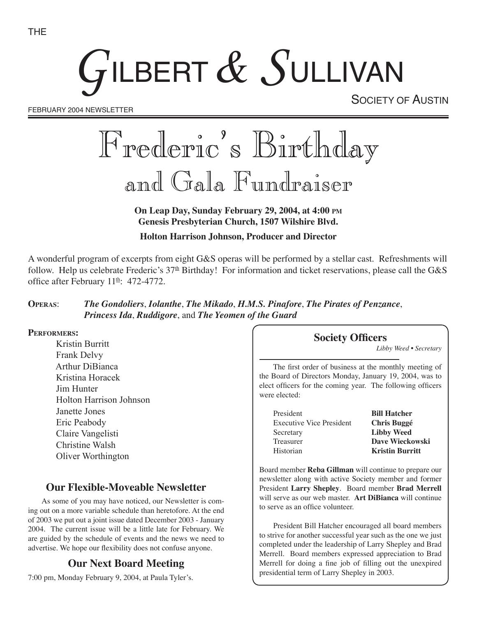# GILBERT  $\&$  SULLIVAN

FEBRUARY 2004 NEWSLETTER

SOCIETY OF AUSTIN

# Frederic's Birthday and Gala Fundraiser

**On Leap Day, Sunday February 29, 2004, at 4:00 PM Genesis Presbyterian Church, 1507 Wilshire Blvd.**

**Holton Harrison Johnson, Producer and Director**

A wonderful program of excerpts from eight G&S operas will be performed by a stellar cast. Refreshments will follow. Help us celebrate Frederic's  $37<sup>th</sup>$  Birthday! For information and ticket reservations, please call the G&S office after February  $11<sup>th</sup>$ : 472-4772.

#### **OPERAS**: *The Gondoliers*, *Iolanthe*, *The Mikado*, *H.M.S. Pinafore*, *The Pirates of Penzance*, *Princess Ida*, *Ruddigore*, and *The Yeomen of the Guard*

#### **PERFORMERS:**

Kristin Burritt Frank Delvy Arthur DiBianca Kristina Horacek Jim Hunter Holton Harrison Johnson Janette Jones Eric Peabody Claire Vangelisti Christine Walsh Oliver Worthington

# **Our Flexible-Moveable Newsletter**

As some of you may have noticed, our Newsletter is coming out on a more variable schedule than heretofore. At the end of 2003 we put out a joint issue dated December 2003 - January 2004. The current issue will be a little late for February. We are guided by the schedule of events and the news we need to advertise. We hope our flexibility does not confuse anyone.

## **Our Next Board Meeting**

7:00 pm, Monday February 9, 2004, at Paula Tyler's.

#### **Society Officers**

*Libby Weed • Secretary*

The first order of business at the monthly meeting of the Board of Directors Monday, January 19, 2004, was to elect officers for the coming year. The following officers were elected:

| President                       | <b>Bill Hatcher</b>    |
|---------------------------------|------------------------|
| <b>Executive Vice President</b> | <b>Chris Buggé</b>     |
| Secretary                       | <b>Libby Weed</b>      |
| Treasurer                       | <b>Dave Wieckows</b>   |
| Historian                       | <b>Kristin Burritt</b> |

**Bill Hatcher Chris Buggé Libby Weed** Dave Wieckowski

Board member **Reba Gillman** will continue to prepare our newsletter along with active Society member and former President **Larry Shepley**. Board member **Brad Merrell** will serve as our web master. **Art DiBianca** will continue to serve as an office volunteer.

President Bill Hatcher encouraged all board members to strive for another successful year such as the one we just completed under the leadership of Larry Shepley and Brad Merrell. Board members expressed appreciation to Brad Merrell for doing a fine job of filling out the unexpired presidential term of Larry Shepley in 2003.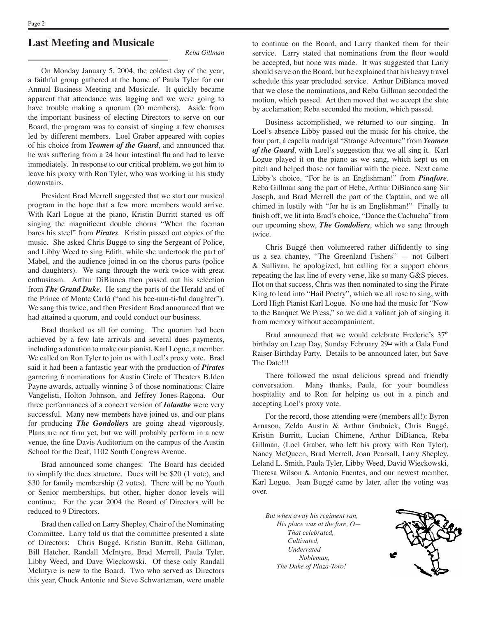#### **Last Meeting and Musicale**

*Reba Gillman*

On Monday January 5, 2004, the coldest day of the year, a faithful group gathered at the home of Paula Tyler for our Annual Business Meeting and Musicale. It quickly became apparent that attendance was lagging and we were going to have trouble making a quorum (20 members). Aside from the important business of electing Directors to serve on our Board, the program was to consist of singing a few choruses led by different members. Loel Graber appeared with copies of his choice from *Yeomen of the Guard*, and announced that he was suffering from a 24 hour intestinal flu and had to leave immediately. In response to our critical problem, we got him to leave his proxy with Ron Tyler, who was working in his study downstairs.

President Brad Merrell suggested that we start our musical program in the hope that a few more members would arrive. With Karl Logue at the piano, Kristin Burritt started us off singing the magnificent double chorus "When the foeman bares his steel" from *Pirates*. Kristin passed out copies of the music. She asked Chris Buggé to sing the Sergeant of Police, and Libby Weed to sing Edith, while she undertook the part of Mabel, and the audience joined in on the chorus parts (police and daughters). We sang through the work twice with great enthusiasm. Arthur DiBianca then passed out his selection from *The Grand Duke*. He sang the parts of the Herald and of the Prince of Monte Carló ("and his bee-uuu-ti-ful daughter"). We sang this twice, and then President Brad announced that we had attained a quorum, and could conduct our business.

Brad thanked us all for coming. The quorum had been achieved by a few late arrivals and several dues payments, including a donation to make our pianist, Karl Logue, a member. We called on Ron Tyler to join us with Loel's proxy vote. Brad said it had been a fantastic year with the production of *Pirates*  garnering 6 nominations for Austin Circle of Theaters B.Iden Payne awards, actually winning 3 of those nominations: Claire Vangelisti, Holton Johnson, and Jeffrey Jones-Ragona. Our three performances of a concert version of *Iolanthe* were very successful. Many new members have joined us, and our plans for producing *The Gondoliers* are going ahead vigorously. Plans are not firm yet, but we will probably perform in a new venue, the fine Davis Auditorium on the campus of the Austin School for the Deaf, 1102 South Congress Avenue.

Brad announced some changes: The Board has decided to simplify the dues structure. Dues will be \$20 (1 vote), and \$30 for family membership (2 votes). There will be no Youth or Senior memberships, but other, higher donor levels will continue. For the year 2004 the Board of Directors will be reduced to 9 Directors.

Brad then called on Larry Shepley, Chair of the Nominating Committee. Larry told us that the committee presented a slate of Directors: Chris Buggé, Kristin Burritt, Reba Gillman, Bill Hatcher, Randall McIntyre, Brad Merrell, Paula Tyler, Libby Weed, and Dave Wieckowski. Of these only Randall McIntyre is new to the Board. Two who served as Directors this year, Chuck Antonie and Steve Schwartzman, were unable

to continue on the Board, and Larry thanked them for their service. Larry stated that nominations from the floor would be accepted, but none was made. It was suggested that Larry should serve on the Board, but he explained that his heavy travel schedule this year precluded service. Arthur DiBianca moved that we close the nominations, and Reba Gillman seconded the motion, which passed. Art then moved that we accept the slate by acclamation; Reba seconded the motion, which passed.

Business accomplished, we returned to our singing. In Loel's absence Libby passed out the music for his choice, the four part, á capella madrigal "Strange Adventure" from *Yeomen of the Guard*, with Loel's suggestion that we all sing it. Karl Logue played it on the piano as we sang, which kept us on pitch and helped those not familiar with the piece. Next came Libby's choice, "For he is an Englishman!" from *Pinafore*. Reba Gillman sang the part of Hebe, Arthur DiBianca sang Sir Joseph, and Brad Merrell the part of the Captain, and we all chimed in lustily with "for he is an Englishman!" Finally to finish off, we lit into Brad's choice, "Dance the Cachucha" from our upcoming show, *The Gondoliers*, which we sang through twice.

Chris Buggé then volunteered rather diffidently to sing us a sea chantey, "The Greenland Fishers" — not Gilbert & Sullivan, he apologized, but calling for a support chorus repeating the last line of every verse, like so many G&S pieces. Hot on that success, Chris was then nominated to sing the Pirate King to lead into "Hail Poetry", which we all rose to sing, with Lord High Pianist Karl Logue. No one had the music for "Now to the Banquet We Press," so we did a valiant job of singing it from memory without accompaniment.

Brad announced that we would celebrate Frederic's 37<sup>th</sup> birthday on Leap Day, Sunday February 29<sup>th</sup> with a Gala Fund Raiser Birthday Party. Details to be announced later, but Save The Date!!!

There followed the usual delicious spread and friendly conversation. Many thanks, Paula, for your boundless hospitality and to Ron for helping us out in a pinch and accepting Loel's proxy vote.

For the record, those attending were (members all!): Byron Arnason, Zelda Austin & Arthur Grubnick, Chris Buggé, Kristin Burritt, Lucian Chimene, Arthur DiBianca, Reba Gillman, (Loel Graber, who left his proxy with Ron Tyler), Nancy McQueen, Brad Merrell, Joan Pearsall, Larry Shepley, Leland L. Smith, Paula Tyler, Libby Weed, David Wieckowski, Theresa Wilson & Antonio Fuentes, and our newest member, Karl Logue. Jean Buggé came by later, after the voting was over.

*But when away his regiment ran, His place was at the fore, O— That celebrated, Cultivated, Underrated Nobleman, The Duke of Plaza-Toro!*

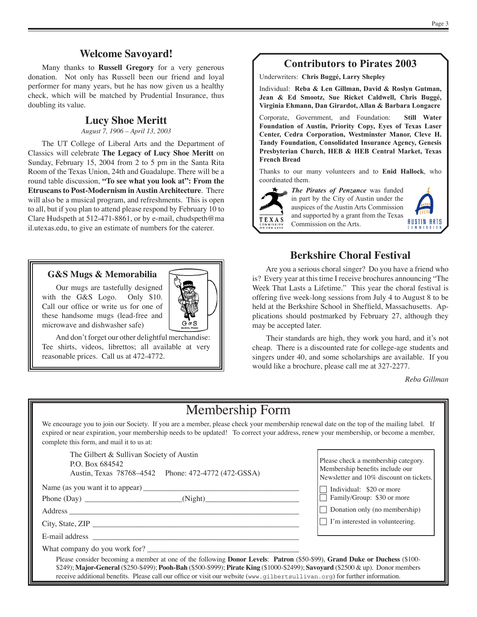#### **Welcome Savoyard!**

Many thanks to **Russell Gregory** for a very generous donation. Not only has Russell been our friend and loyal performer for many years, but he has now given us a healthy check, which will be matched by Prudential Insurance, thus doubling its value.

#### **Lucy Shoe Meritt**

*August 7, 1906 – April 13, 2003*

The UT College of Liberal Arts and the Department of Classics will celebrate **The Legacy of Lucy Shoe Meritt** on Sunday, February 15, 2004 from 2 to 5 pm in the Santa Rita Room of the Texas Union, 24th and Guadalupe. There will be a round table discussion, **"To see what you look at": From the Etruscans to Post-Modernism in Austin Architecture**. There will also be a musical program, and refreshments. This is open to all, but if you plan to attend please respond by February 10 to Clare Hudspeth at 512-471-8861, or by e-mail, chudspeth@ma il.utexas.edu, to give an estimate of numbers for the caterer.

#### **G&S Mugs & Memorabilia**

Our mugs are tastefully designed with the G&S Logo. Only \$10. Call our office or write us for one of these handsome mugs (lead-free and microwave and dishwasher safe)

And don't forget our other delightful merchandise: Tee shirts, videos, librettos; all available at very reasonable prices. Call us at 472-4772.

### **Contributors to Pirates 2003**

Underwriters: **Chris Buggé, Larry Shepley**

Individual: **Reba & Len Gillman, David & Roslyn Gutman, Jean & Ed Smootz, Sue Ricket Caldwell, Chris Buggé, Virginia Ehmann, Dan Girardot, Allan & Barbara Longacre**

Corporate, Government, and Foundation: **Still Water Foundation of Austin, Priority Copy, Eyes of Texas Laser Center, Cedra Corporation, Westminster Manor, Cleve H. Tandy Foundation, Consolidated Insurance Agency, Genesis Presbyterian Church, HEB & HEB Central Market, Texas French Bread**

Thanks to our many volunteers and to **Enid Hallock**, who coordinated them.



*The Pirates of Penzance* was funded in part by the City of Austin under the auspices of the Austin Arts Commission and supported by a grant from the Texas Commission on the Arts.



#### **Berkshire Choral Festival**

Are you a serious choral singer? Do you have a friend who is? Every year at this time I receive brochures announcing "The Week That Lasts a Lifetime." This year the choral festival is offering five week-long sessions from July 4 to August 8 to be held at the Berkshire School in Sheffield, Massachusetts. Applications should postmarked by February 27, although they may be accepted later.

Their standards are high, they work you hard, and it's not cheap. There is a discounted rate for college-age students and singers under 40, and some scholarships are available. If you would like a brochure, please call me at 327-2277.

*Reba Gillman*

# Membership Form

We encourage you to join our Society. If you are a member, please check your membership renewal date on the top of the mailing label. If expired or near expiration, your membership needs to be updated! To correct your address, renew your membership, or become a member, complete this form, and mail it to us at:

The Gilbert & Sullivan Society of Austin P.O. Box 684542 Austin, Texas 78768–4542 Phone: 472-4772 (472-GSSA)

Name (as you want it to appear) \_\_\_\_\_\_\_\_\_\_\_\_\_\_\_\_\_\_\_\_\_\_\_\_\_\_\_\_\_\_\_\_\_\_\_\_\_\_\_\_

Phone (Day) \_\_\_\_\_\_\_\_\_\_\_\_\_\_\_\_\_\_\_\_\_\_\_\_\_(Night)\_\_\_\_\_\_\_\_\_\_\_\_\_\_\_\_\_\_\_\_\_\_\_\_

Address \_\_\_\_\_\_\_\_\_\_\_\_\_\_\_\_\_\_\_\_\_\_\_\_\_\_\_\_\_\_\_\_\_\_\_\_\_\_\_\_\_\_\_\_\_\_\_\_\_\_\_\_\_\_\_\_\_\_\_

City, State, ZIP \_\_\_\_\_\_\_\_\_\_\_\_\_\_\_\_\_\_\_\_\_\_\_\_\_\_\_\_\_\_\_\_\_\_\_\_\_\_\_\_\_\_\_\_\_\_\_\_\_\_\_\_\_

E-mail address \_

What company do you work for?

Please check a membership category. Membership benefits include our Newsletter and 10% discount on tickets.

 $\Box$  Individual: \$20 or more

 $\overline{\Box}$  Family/Group: \$30 or more

 $\Box$  Donation only (no membership)

 $\Box$  I'm interested in volunteering.

Please consider becoming a member at one of the following **Donor Levels**: **Patron** (\$50-\$99), **Grand Duke or Duchess** (\$100- \$249); **Major-General** (\$250-\$499); **Pooh-Bah** (\$500-\$999); **Pirate King** (\$1000-\$2499); **Savoyard** (\$2500 & up). Donor members receive additional benefits. Please call our office or visit our website (www.gilbertsullivan.org) for further information.